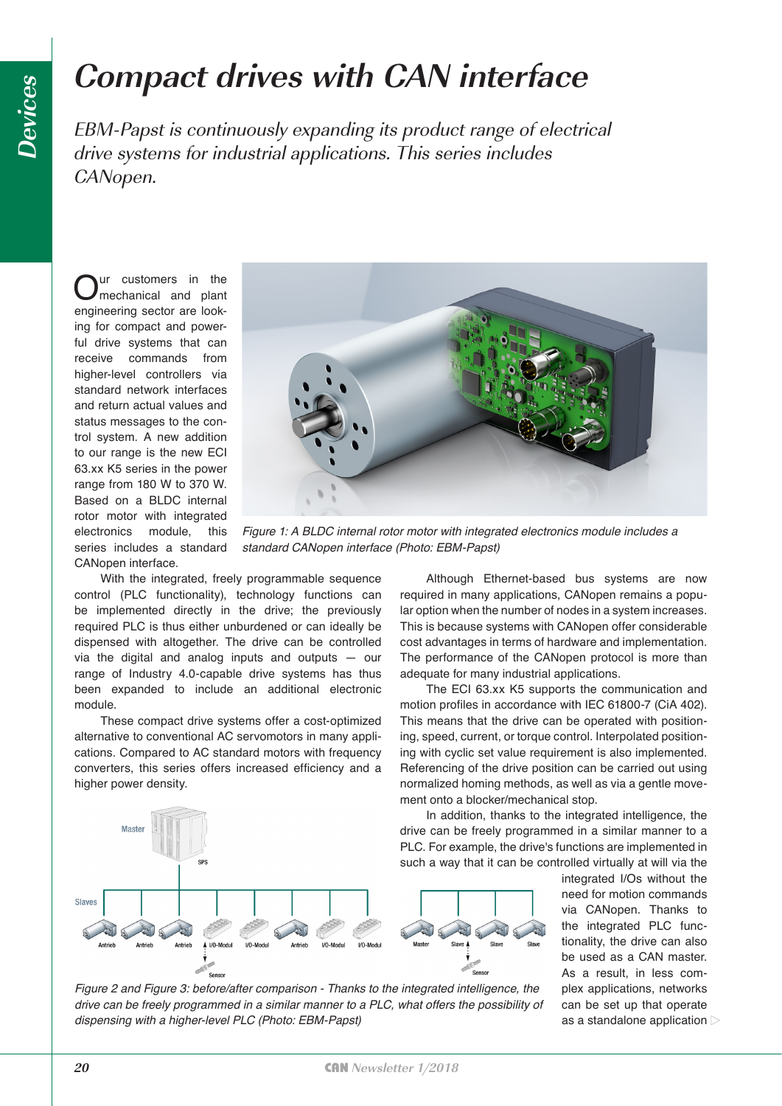## **Compact drives with CAN interface**

EBM-Papst is continuously expanding its product range of electrical drive systems for industrial applications. This series includes CANopen.

Our customers in the<br>
nechanical and plant<br>
necessary and position engineering sector are looking for compact and powerful drive systems that can receive commands from higher-level controllers via standard network interfaces and return actual values and status messages to the control system. A new addition to our range is the new ECI 63.xx K5 series in the power range from 180 W to 370 W. Based on a BLDC internal rotor motor with integrated electronics module, this series includes a standard CANopen interface.



*Figure 1: A BLDC internal rotor motor with integrated electronics module includes a*  standard CANopen interface (Photo: EBM-Papst)

Although Ethernet-based bus systems are now required in many applications, CANopen remains a popular option when the number of nodes in a system increases. This is because systems with CANopen offer considerable cost advantages in terms of hardware and implementation. The performance of the CANopen protocol is more than

The ECI 63.xx K5 supports the communication and motion profiles in accordance with IEC 61800-7 (CiA 402). This means that the drive can be operated with positioning, speed, current, or torque control. Interpolated positioning with cyclic set value requirement is also implemented. Referencing of the drive position can be carried out using normalized homing methods, as well as via a gentle move-

adequate for many industrial applications.

ment onto a blocker/mechanical stop.

With the integrated, freely programmable sequence control (PLC functionality), technology functions can be implemented directly in the drive; the previously required PLC is thus either unburdened or can ideally be dispensed with altogether. The drive can be controlled via the digital and analog inputs and outputs — our range of Industry 4.0-capable drive systems has thus been expanded to include an additional electronic module.

These compact drive systems offer a cost-optimized alternative to conventional AC servomotors in many applications. Compared to AC standard motors with frequency converters, this series offers increased efficiency and a higher power density.



integrated I/Os without the need for motion commands via CANopen. Thanks to the integrated PLC functionality, the drive can also be used as a CAN master. As a result, in less complex applications, networks can be set up that operate as a standalone application